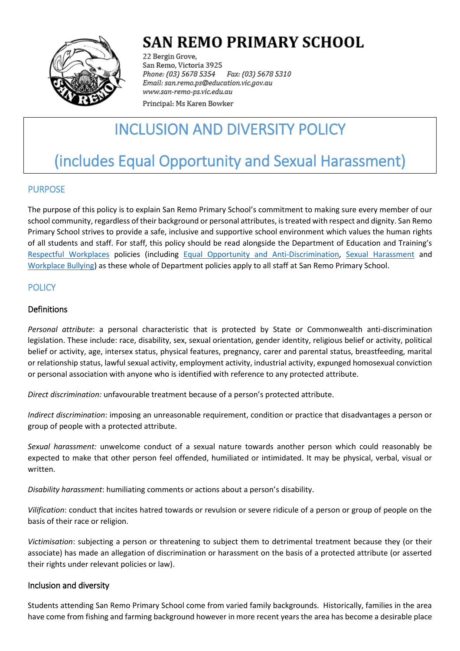

## **SAN REMO PRIMARY SCHOOL**

22 Bergin Grove, San Remo, Victoria 3925 Fax: (03) 5678 5310 Phone: (03) 5678 5354 Email: san.remo.ps@education.vic.gov.au www.san-remo-ps.vic.edu.au

Principal: Ms Karen Bowker

## INCLUSION AND DIVERSITY POLICY

# (includes Equal Opportunity and Sexual Harassment)

## PURPOSE

The purpose of this policy is to explain San Remo Primary School's commitment to making sure every member of our school community, regardless of their background or personal attributes, is treated with respect and dignity. San Remo Primary School strives to provide a safe, inclusive and supportive school environment which values the human rights of all students and staff. For staff, this policy should be read alongside the Department of Education and Training's [Respectful Workplaces](https://www2.education.vic.gov.au/pal/respectful-workplaces/overview) policies (including [Equal Opportunity and Anti-Discrimination,](https://www2.education.vic.gov.au/pal/equal-opportunity/overview) [Sexual Harassment](https://www2.education.vic.gov.au/pal/sexual-harassment/overview) and [Workplace Bullying\)](https://www2.education.vic.gov.au/pal/workplace-bullying/policy) as these whole of Department policies apply to all staff at San Remo Primary School.

### **POLICY**

#### Definitions

*Personal attribute*: a personal characteristic that is protected by State or Commonwealth anti-discrimination legislation. These include: race, disability, sex, sexual orientation, gender identity, religious belief or activity, political belief or activity, age, intersex status, physical features, pregnancy, carer and parental status, breastfeeding, marital or relationship status, lawful sexual activity, employment activity, industrial activity, expunged homosexual conviction or personal association with anyone who is identified with reference to any protected attribute.

*Direct discrimination:* unfavourable treatment because of a person's protected attribute.

*Indirect discrimination*: imposing an unreasonable requirement, condition or practice that disadvantages a person or group of people with a protected attribute.

*Sexual harassment:* unwelcome conduct of a sexual nature towards another person which could reasonably be expected to make that other person feel offended, humiliated or intimidated. It may be physical, verbal, visual or written.

*Disability harassment*: humiliating comments or actions about a person's disability.

*Vilification*: conduct that incites hatred towards or revulsion or severe ridicule of a person or group of people on the basis of their race or religion.

*Victimisation*: subjecting a person or threatening to subject them to detrimental treatment because they (or their associate) has made an allegation of discrimination or harassment on the basis of a protected attribute (or asserted their rights under relevant policies or law).

#### Inclusion and diversity

Students attending San Remo Primary School come from varied family backgrounds. Historically, families in the area have come from fishing and farming background however in more recent years the area has become a desirable place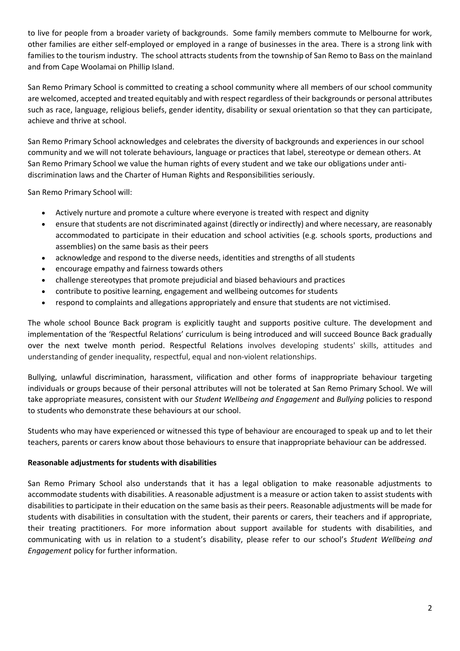to live for people from a broader variety of backgrounds. Some family members commute to Melbourne for work, other families are either self-employed or employed in a range of businesses in the area. There is a strong link with families to the tourism industry. The school attracts students from the township of San Remo to Bass on the mainland and from Cape Woolamai on Phillip Island.

San Remo Primary School is committed to creating a school community where all members of our school community are welcomed, accepted and treated equitably and with respect regardless of their backgrounds or personal attributes such as race, language, religious beliefs, gender identity, disability or sexual orientation so that they can participate, achieve and thrive at school.

San Remo Primary School acknowledges and celebrates the diversity of backgrounds and experiences in our school community and we will not tolerate behaviours, language or practices that label, stereotype or demean others. At San Remo Primary School we value the human rights of every student and we take our obligations under antidiscrimination laws and the Charter of Human Rights and Responsibilities seriously.

San Remo Primary School will:

- Actively nurture and promote a culture where everyone is treated with respect and dignity
- ensure that students are not discriminated against (directly or indirectly) and where necessary, are reasonably accommodated to participate in their education and school activities (e.g. schools sports, productions and assemblies) on the same basis as their peers
- acknowledge and respond to the diverse needs, identities and strengths of all students
- encourage empathy and fairness towards others
- challenge stereotypes that promote prejudicial and biased behaviours and practices
- contribute to positive learning, engagement and wellbeing outcomes for students
- respond to complaints and allegations appropriately and ensure that students are not victimised.

The whole school Bounce Back program is explicitly taught and supports positive culture. The development and implementation of the 'Respectful Relations' curriculum is being introduced and will succeed Bounce Back gradually over the next twelve month period. Respectful Relations involves developing students' skills, attitudes and understanding of gender inequality, respectful, equal and non-violent relationships.

Bullying, unlawful discrimination, harassment, vilification and other forms of inappropriate behaviour targeting individuals or groups because of their personal attributes will not be tolerated at San Remo Primary School. We will take appropriate measures, consistent with our *Student Wellbeing and Engagement* and *Bullying* policies to respond to students who demonstrate these behaviours at our school.

Students who may have experienced or witnessed this type of behaviour are encouraged to speak up and to let their teachers, parents or carers know about those behaviours to ensure that inappropriate behaviour can be addressed.

#### **Reasonable adjustments for students with disabilities**

San Remo Primary School also understands that it has a legal obligation to make reasonable adjustments to accommodate students with disabilities. A reasonable adjustment is a measure or action taken to assist students with disabilities to participate in their education on the same basis as their peers. Reasonable adjustments will be made for students with disabilities in consultation with the student, their parents or carers, their teachers and if appropriate, their treating practitioners. For more information about support available for students with disabilities, and communicating with us in relation to a student's disability, please refer to our school's *Student Wellbeing and Engagement* policy for further information.